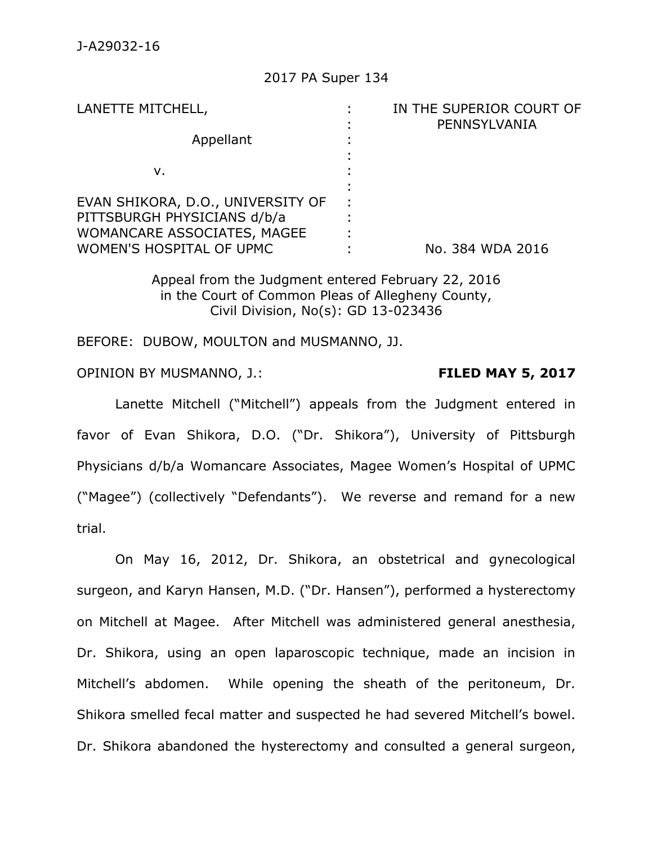### 2017 PA Super 134

| LANETTE MITCHELL,                 | IN THE SUPERIOR COURT OF |
|-----------------------------------|--------------------------|
| Appellant                         | PENNSYLVANIA             |
|                                   |                          |
|                                   |                          |
| v.                                |                          |
|                                   |                          |
| EVAN SHIKORA, D.O., UNIVERSITY OF |                          |
| PITTSBURGH PHYSICIANS d/b/a       |                          |
| WOMANCARE ASSOCIATES, MAGEE       |                          |
| WOMEN'S HOSPITAL OF UPMC          | No. 384 WDA 2016         |

Appeal from the Judgment entered February 22, 2016 in the Court of Common Pleas of Allegheny County, Civil Division, No(s): GD 13-023436

BEFORE: DUBOW, MOULTON and MUSMANNO, JJ.

OPINION BY MUSMANNO, J.: **FILED MAY 5, 2017**

Lanette Mitchell ("Mitchell") appeals from the Judgment entered in favor of Evan Shikora, D.O. ("Dr. Shikora"), University of Pittsburgh Physicians d/b/a Womancare Associates, Magee Women's Hospital of UPMC ("Magee") (collectively "Defendants"). We reverse and remand for a new trial.

On May 16, 2012, Dr. Shikora, an obstetrical and gynecological surgeon, and Karyn Hansen, M.D. ("Dr. Hansen"), performed a hysterectomy on Mitchell at Magee. After Mitchell was administered general anesthesia, Dr. Shikora, using an open laparoscopic technique, made an incision in Mitchell's abdomen. While opening the sheath of the peritoneum, Dr. Shikora smelled fecal matter and suspected he had severed Mitchell's bowel. Dr. Shikora abandoned the hysterectomy and consulted a general surgeon,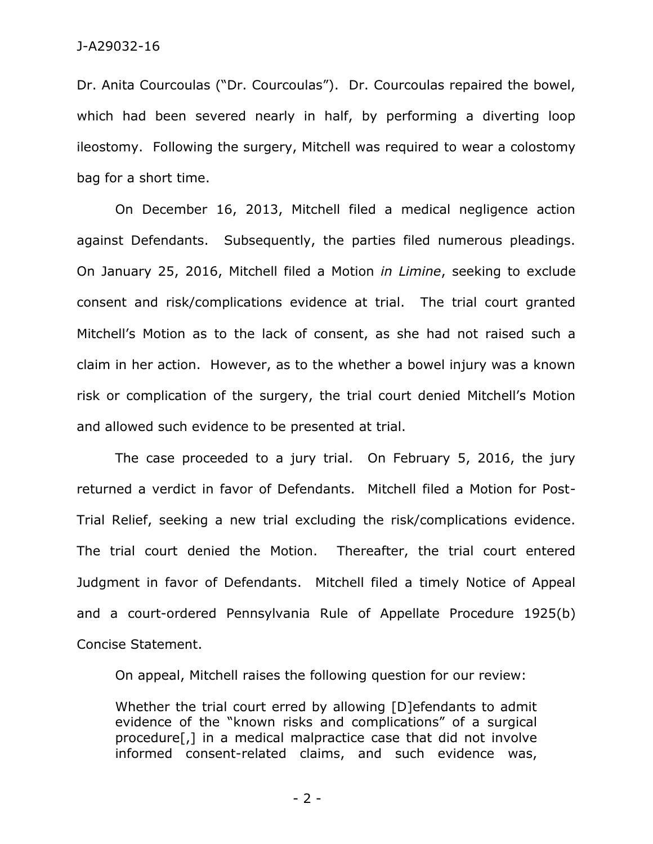Dr. Anita Courcoulas ("Dr. Courcoulas"). Dr. Courcoulas repaired the bowel, which had been severed nearly in half, by performing a diverting loop ileostomy. Following the surgery, Mitchell was required to wear a colostomy bag for a short time.

On December 16, 2013, Mitchell filed a medical negligence action against Defendants. Subsequently, the parties filed numerous pleadings. On January 25, 2016, Mitchell filed a Motion *in Limine*, seeking to exclude consent and risk/complications evidence at trial. The trial court granted Mitchell's Motion as to the lack of consent, as she had not raised such a claim in her action. However, as to the whether a bowel injury was a known risk or complication of the surgery, the trial court denied Mitchell's Motion and allowed such evidence to be presented at trial.

The case proceeded to a jury trial. On February 5, 2016, the jury returned a verdict in favor of Defendants. Mitchell filed a Motion for Post-Trial Relief, seeking a new trial excluding the risk/complications evidence. The trial court denied the Motion. Thereafter, the trial court entered Judgment in favor of Defendants. Mitchell filed a timely Notice of Appeal and a court-ordered Pennsylvania Rule of Appellate Procedure 1925(b) Concise Statement.

On appeal, Mitchell raises the following question for our review:

Whether the trial court erred by allowing [D]efendants to admit evidence of the "known risks and complications" of a surgical procedure[,] in a medical malpractice case that did not involve informed consent-related claims, and such evidence was,

- 2 -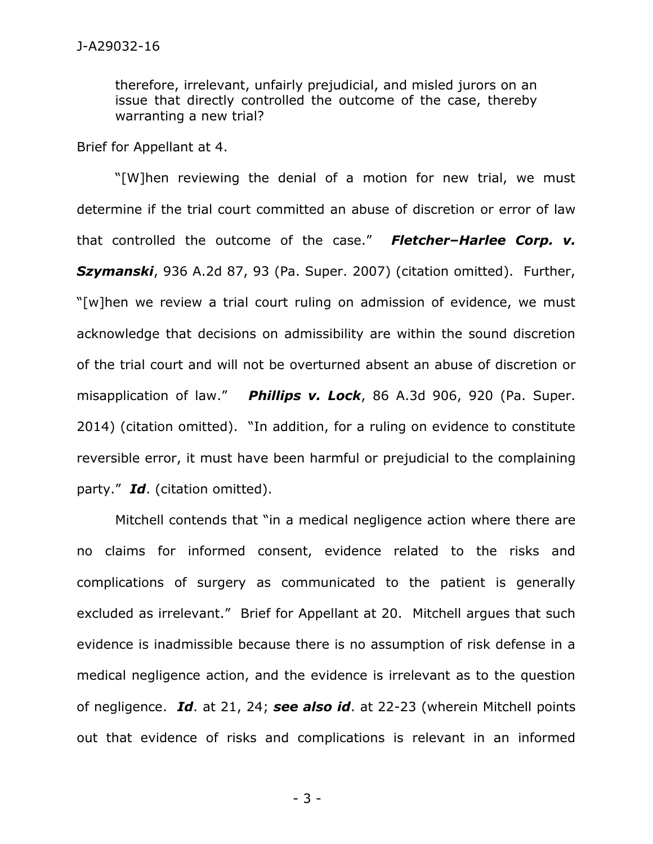therefore, irrelevant, unfairly prejudicial, and misled jurors on an issue that directly controlled the outcome of the case, thereby warranting a new trial?

Brief for Appellant at 4.

"[W]hen reviewing the denial of a motion for new trial, we must determine if the trial court committed an abuse of discretion or error of law that controlled the outcome of the case." *Fletcher–Harlee Corp. v. Szymanski*, 936 A.2d 87, 93 (Pa. Super. 2007) (citation omitted). Further, "[w]hen we review a trial court ruling on admission of evidence, we must acknowledge that decisions on admissibility are within the sound discretion of the trial court and will not be overturned absent an abuse of discretion or misapplication of law." *Phillips v. Lock*, 86 A.3d 906, 920 (Pa. Super. 2014) (citation omitted). "In addition, for a ruling on evidence to constitute reversible error, it must have been harmful or prejudicial to the complaining party." *Id*. (citation omitted).

Mitchell contends that "in a medical negligence action where there are no claims for informed consent, evidence related to the risks and complications of surgery as communicated to the patient is generally excluded as irrelevant." Brief for Appellant at 20. Mitchell argues that such evidence is inadmissible because there is no assumption of risk defense in a medical negligence action, and the evidence is irrelevant as to the question of negligence. *Id*. at 21, 24; *see also id*. at 22-23 (wherein Mitchell points out that evidence of risks and complications is relevant in an informed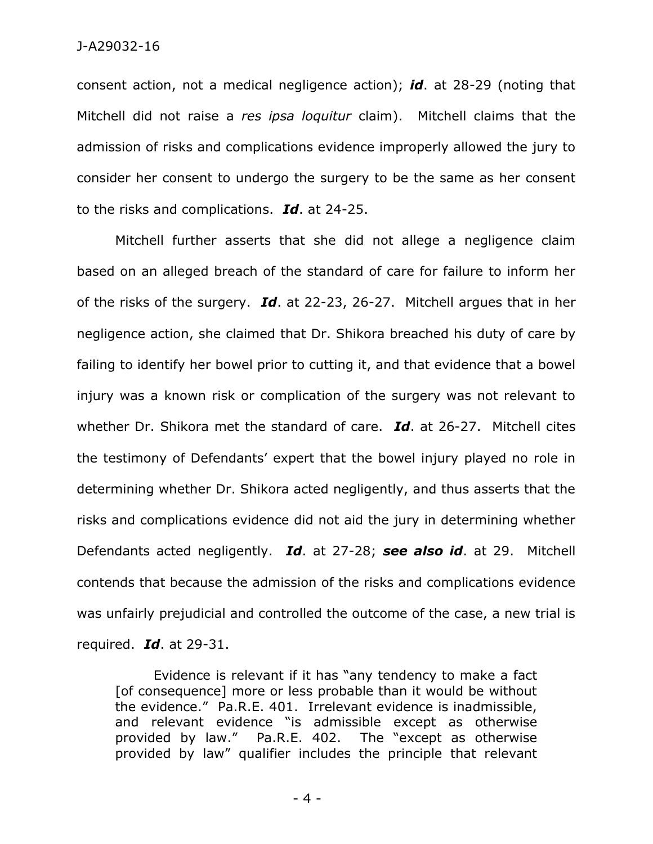consent action, not a medical negligence action); *id*. at 28-29 (noting that Mitchell did not raise a *res ipsa loquitur* claim). Mitchell claims that the admission of risks and complications evidence improperly allowed the jury to consider her consent to undergo the surgery to be the same as her consent to the risks and complications. *Id*. at 24-25.

Mitchell further asserts that she did not allege a negligence claim based on an alleged breach of the standard of care for failure to inform her of the risks of the surgery. *Id*. at 22-23, 26-27. Mitchell argues that in her negligence action, she claimed that Dr. Shikora breached his duty of care by failing to identify her bowel prior to cutting it, and that evidence that a bowel injury was a known risk or complication of the surgery was not relevant to whether Dr. Shikora met the standard of care. *Id*. at 26-27. Mitchell cites the testimony of Defendants' expert that the bowel injury played no role in determining whether Dr. Shikora acted negligently, and thus asserts that the risks and complications evidence did not aid the jury in determining whether Defendants acted negligently. *Id*. at 27-28; *see also id*. at 29. Mitchell contends that because the admission of the risks and complications evidence was unfairly prejudicial and controlled the outcome of the case, a new trial is required. *Id*. at 29-31.

Evidence is relevant if it has "any tendency to make a fact [of consequence] more or less probable than it would be without the evidence." Pa.R.E. 401. Irrelevant evidence is inadmissible, and relevant evidence "is admissible except as otherwise provided by law." Pa.R.E. 402. The "except as otherwise provided by law" qualifier includes the principle that relevant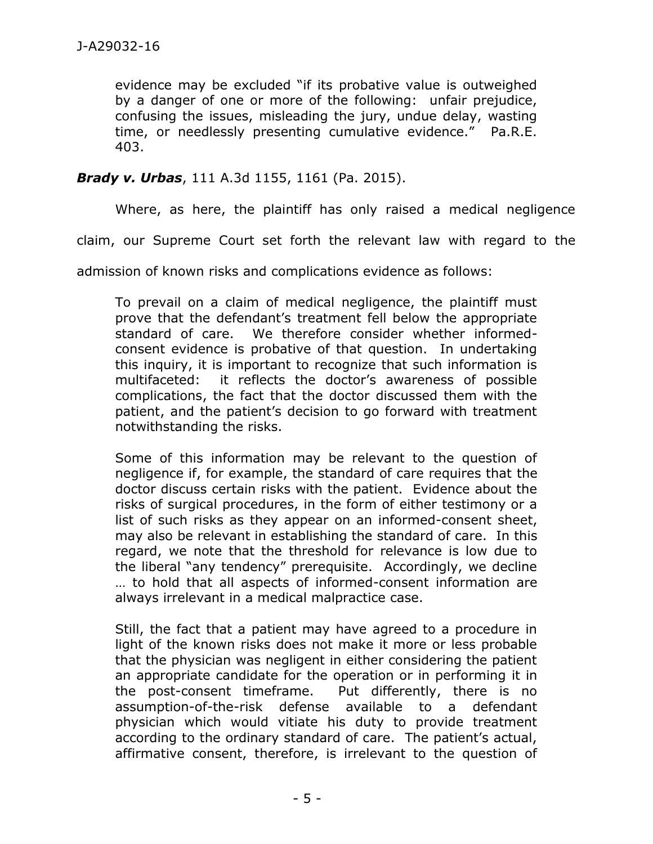evidence may be excluded "if its probative value is outweighed by a danger of one or more of the following: unfair prejudice, confusing the issues, misleading the jury, undue delay, wasting time, or needlessly presenting cumulative evidence." Pa.R.E. 403.

## *Brady v. Urbas*, 111 A.3d 1155, 1161 (Pa. 2015).

Where, as here, the plaintiff has only raised a medical negligence

claim, our Supreme Court set forth the relevant law with regard to the

admission of known risks and complications evidence as follows:

To prevail on a claim of medical negligence, the plaintiff must prove that the defendant's treatment fell below the appropriate standard of care. We therefore consider whether informedconsent evidence is probative of that question. In undertaking this inquiry, it is important to recognize that such information is multifaceted: it reflects the doctor's awareness of possible complications, the fact that the doctor discussed them with the patient, and the patient's decision to go forward with treatment notwithstanding the risks.

Some of this information may be relevant to the question of negligence if, for example, the standard of care requires that the doctor discuss certain risks with the patient. Evidence about the risks of surgical procedures, in the form of either testimony or a list of such risks as they appear on an informed-consent sheet, may also be relevant in establishing the standard of care. In this regard, we note that the threshold for relevance is low due to the liberal "any tendency" prerequisite. Accordingly, we decline … to hold that all aspects of informed-consent information are always irrelevant in a medical malpractice case.

Still, the fact that a patient may have agreed to a procedure in light of the known risks does not make it more or less probable that the physician was negligent in either considering the patient an appropriate candidate for the operation or in performing it in the post-consent timeframe. Put differently, there is no assumption-of-the-risk defense available to a defendant physician which would vitiate his duty to provide treatment according to the ordinary standard of care. The patient's actual, affirmative consent, therefore, is irrelevant to the question of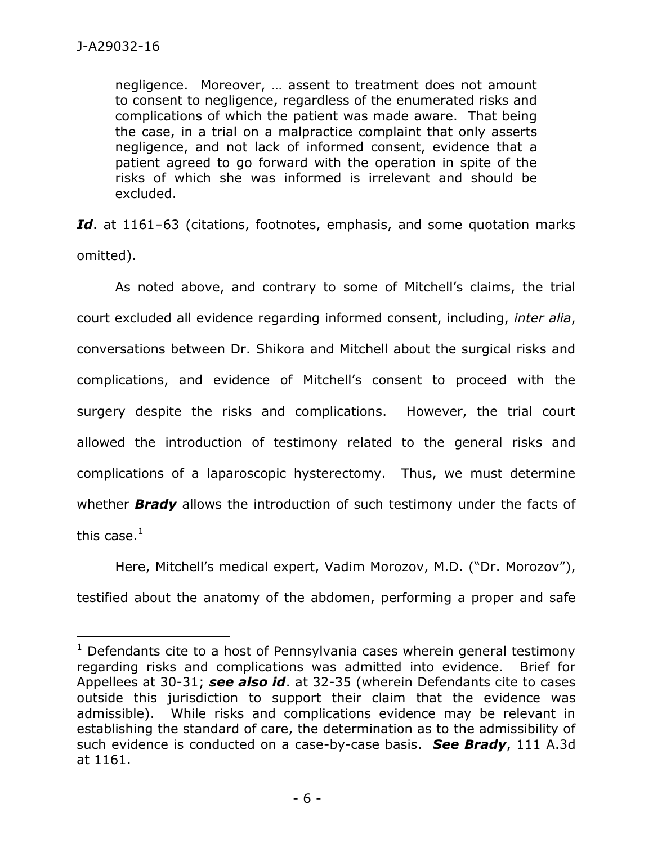$\overline{a}$ 

negligence. Moreover, … assent to treatment does not amount to consent to negligence, regardless of the enumerated risks and complications of which the patient was made aware. That being the case, in a trial on a malpractice complaint that only asserts negligence, and not lack of informed consent, evidence that a patient agreed to go forward with the operation in spite of the risks of which she was informed is irrelevant and should be excluded.

Id. at 1161–63 (citations, footnotes, emphasis, and some quotation marks omitted).

As noted above, and contrary to some of Mitchell's claims, the trial court excluded all evidence regarding informed consent, including, *inter alia*, conversations between Dr. Shikora and Mitchell about the surgical risks and complications, and evidence of Mitchell's consent to proceed with the surgery despite the risks and complications. However, the trial court allowed the introduction of testimony related to the general risks and complications of a laparoscopic hysterectomy. Thus, we must determine whether *Brady* allows the introduction of such testimony under the facts of this case. $1$ 

Here, Mitchell's medical expert, Vadim Morozov, M.D. ("Dr. Morozov"), testified about the anatomy of the abdomen, performing a proper and safe

 $1$  Defendants cite to a host of Pennsylvania cases wherein general testimony regarding risks and complications was admitted into evidence. Brief for Appellees at 30-31; *see also id*. at 32-35 (wherein Defendants cite to cases outside this jurisdiction to support their claim that the evidence was admissible). While risks and complications evidence may be relevant in establishing the standard of care, the determination as to the admissibility of such evidence is conducted on a case-by-case basis. *See Brady*, 111 A.3d at 1161.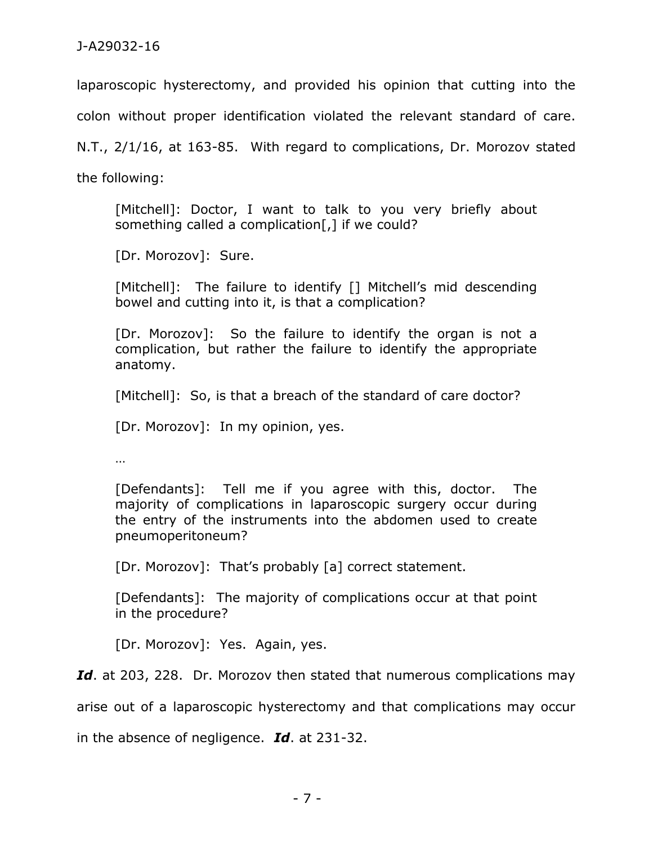laparoscopic hysterectomy, and provided his opinion that cutting into the

colon without proper identification violated the relevant standard of care.

N.T., 2/1/16, at 163-85. With regard to complications, Dr. Morozov stated

the following:

[Mitchell]: Doctor, I want to talk to you very briefly about something called a complication[,] if we could?

[Dr. Morozov]: Sure.

[Mitchell]: The failure to identify [] Mitchell's mid descending bowel and cutting into it, is that a complication?

[Dr. Morozov]: So the failure to identify the organ is not a complication, but rather the failure to identify the appropriate anatomy.

[Mitchell]: So, is that a breach of the standard of care doctor?

[Dr. Morozov]: In my opinion, yes.

…

[Defendants]: Tell me if you agree with this, doctor. The majority of complications in laparoscopic surgery occur during the entry of the instruments into the abdomen used to create pneumoperitoneum?

[Dr. Morozov]: That's probably [a] correct statement.

[Defendants]: The majority of complications occur at that point in the procedure?

[Dr. Morozov]: Yes. Again, yes.

Id. at 203, 228. Dr. Morozov then stated that numerous complications may

arise out of a laparoscopic hysterectomy and that complications may occur

in the absence of negligence. *Id*. at 231-32.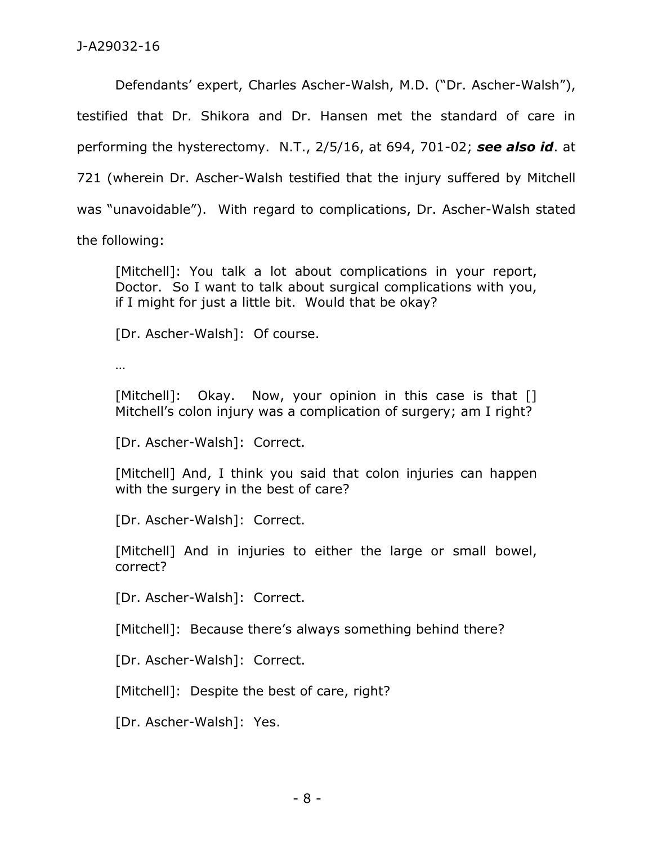Defendants' expert, Charles Ascher-Walsh, M.D. ("Dr. Ascher-Walsh"), testified that Dr. Shikora and Dr. Hansen met the standard of care in performing the hysterectomy. N.T., 2/5/16, at 694, 701-02; *see also id*. at 721 (wherein Dr. Ascher-Walsh testified that the injury suffered by Mitchell was "unavoidable"). With regard to complications, Dr. Ascher-Walsh stated the following:

[Mitchell]: You talk a lot about complications in your report, Doctor. So I want to talk about surgical complications with you, if I might for just a little bit. Would that be okay?

[Dr. Ascher-Walsh]: Of course.

…

[Mitchell]: Okay. Now, your opinion in this case is that [] Mitchell's colon injury was a complication of surgery; am I right?

[Dr. Ascher-Walsh]: Correct.

[Mitchell] And, I think you said that colon injuries can happen with the surgery in the best of care?

[Dr. Ascher-Walsh]: Correct.

[Mitchell] And in injuries to either the large or small bowel, correct?

[Dr. Ascher-Walsh]: Correct.

[Mitchell]: Because there's always something behind there?

[Dr. Ascher-Walsh]: Correct.

[Mitchell]: Despite the best of care, right?

[Dr. Ascher-Walsh]: Yes.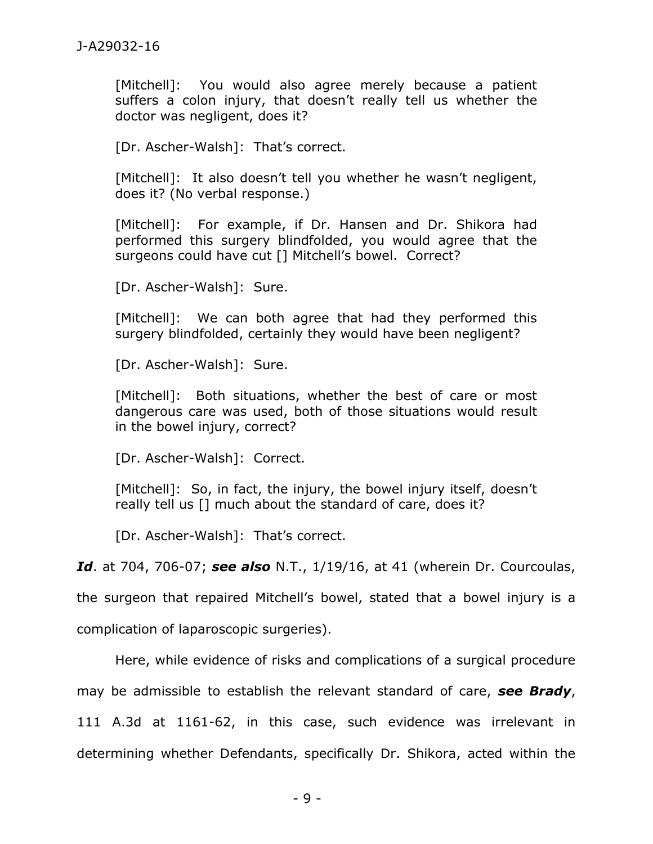[Mitchell]: You would also agree merely because a patient suffers a colon injury, that doesn't really tell us whether the doctor was negligent, does it?

[Dr. Ascher-Walsh]: That's correct.

[Mitchell]: It also doesn't tell you whether he wasn't negligent, does it? (No verbal response.)

[Mitchell]: For example, if Dr. Hansen and Dr. Shikora had performed this surgery blindfolded, you would agree that the surgeons could have cut [] Mitchell's bowel. Correct?

[Dr. Ascher-Walsh]: Sure.

[Mitchell]: We can both agree that had they performed this surgery blindfolded, certainly they would have been negligent?

[Dr. Ascher-Walsh]: Sure.

[Mitchell]: Both situations, whether the best of care or most dangerous care was used, both of those situations would result in the bowel injury, correct?

[Dr. Ascher-Walsh]: Correct.

[Mitchell]: So, in fact, the injury, the bowel injury itself, doesn't really tell us [] much about the standard of care, does it?

[Dr. Ascher-Walsh]: That's correct.

*Id*. at 704, 706-07; *see also* N.T., 1/19/16, at 41 (wherein Dr. Courcoulas,

the surgeon that repaired Mitchell's bowel, stated that a bowel injury is a

complication of laparoscopic surgeries).

Here, while evidence of risks and complications of a surgical procedure

may be admissible to establish the relevant standard of care, *see Brady*,

111 A.3d at 1161-62, in this case, such evidence was irrelevant in

determining whether Defendants, specifically Dr. Shikora, acted within the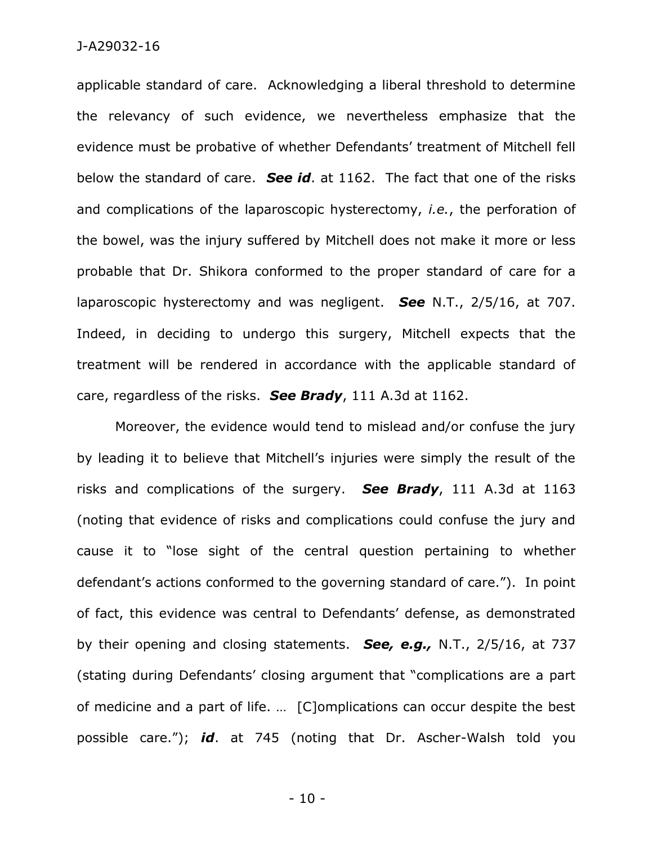#### J-A29032-16

applicable standard of care. Acknowledging a liberal threshold to determine the relevancy of such evidence, we nevertheless emphasize that the evidence must be probative of whether Defendants' treatment of Mitchell fell below the standard of care. *See id*. at 1162. The fact that one of the risks and complications of the laparoscopic hysterectomy, *i.e.*, the perforation of the bowel, was the injury suffered by Mitchell does not make it more or less probable that Dr. Shikora conformed to the proper standard of care for a laparoscopic hysterectomy and was negligent. *See* N.T., 2/5/16, at 707. Indeed, in deciding to undergo this surgery, Mitchell expects that the treatment will be rendered in accordance with the applicable standard of care, regardless of the risks. *See Brady*, 111 A.3d at 1162.

Moreover, the evidence would tend to mislead and/or confuse the jury by leading it to believe that Mitchell's injuries were simply the result of the risks and complications of the surgery. *See Brady*, 111 A.3d at 1163 (noting that evidence of risks and complications could confuse the jury and cause it to "lose sight of the central question pertaining to whether defendant's actions conformed to the governing standard of care."). In point of fact, this evidence was central to Defendants' defense, as demonstrated by their opening and closing statements. *See, e.g.,* N.T., 2/5/16, at 737 (stating during Defendants' closing argument that "complications are a part of medicine and a part of life. … [C]omplications can occur despite the best possible care."); *id*. at 745 (noting that Dr. Ascher-Walsh told you

- 10 -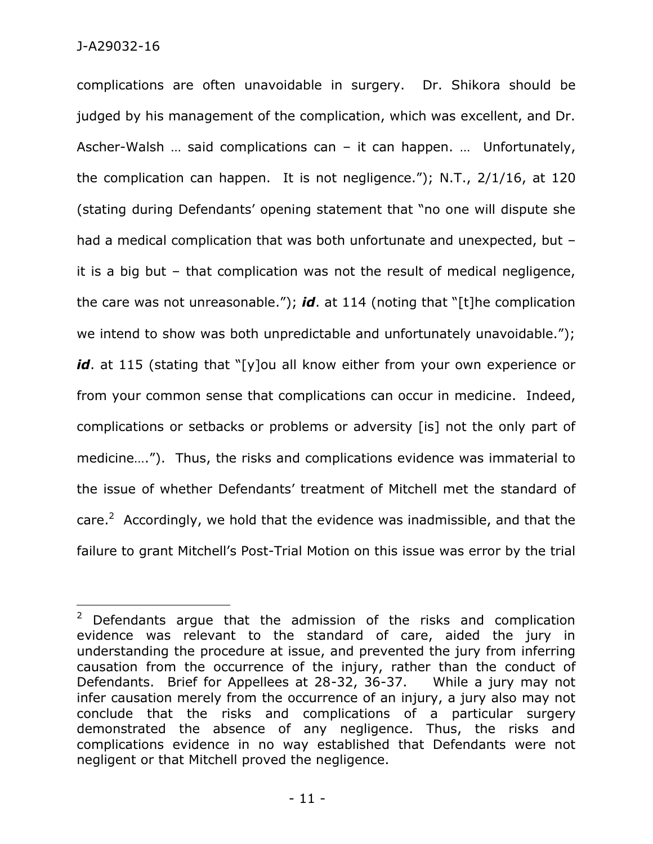$\overline{a}$ 

complications are often unavoidable in surgery. Dr. Shikora should be judged by his management of the complication, which was excellent, and Dr. Ascher-Walsh … said complications can – it can happen. … Unfortunately, the complication can happen. It is not negligence."); N.T., 2/1/16, at 120 (stating during Defendants' opening statement that "no one will dispute she had a medical complication that was both unfortunate and unexpected, but it is a big but – that complication was not the result of medical negligence, the care was not unreasonable."); *id*. at 114 (noting that "[t]he complication we intend to show was both unpredictable and unfortunately unavoidable."); *id*. at 115 (stating that "[y]ou all know either from your own experience or from your common sense that complications can occur in medicine. Indeed, complications or setbacks or problems or adversity [is] not the only part of medicine…."). Thus, the risks and complications evidence was immaterial to the issue of whether Defendants' treatment of Mitchell met the standard of care.<sup>2</sup> Accordingly, we hold that the evidence was inadmissible, and that the failure to grant Mitchell's Post-Trial Motion on this issue was error by the trial

<sup>&</sup>lt;sup>2</sup> Defendants argue that the admission of the risks and complication evidence was relevant to the standard of care, aided the jury in understanding the procedure at issue, and prevented the jury from inferring causation from the occurrence of the injury, rather than the conduct of Defendants. Brief for Appellees at 28-32, 36-37. While a jury may not infer causation merely from the occurrence of an injury, a jury also may not conclude that the risks and complications of a particular surgery demonstrated the absence of any negligence. Thus, the risks and complications evidence in no way established that Defendants were not negligent or that Mitchell proved the negligence.